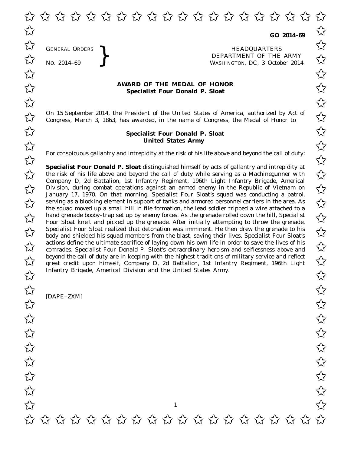GENERAL ORDERS

GENERAL ORDERS **REAL ORDERS** HEADQUARTERS **HEADQUARTERS HEADQUARTERS DEPARTMENT** OF THE **NO.** 2014–69 **PM** No. 2014–69<br>
No. 2014–69<br>
No. 2014–69 WASHINGTON, DC, *3 October 2014*

## **AWARD OF THE MEDAL OF HONOR**<br>
Specialist Four Donald P. Sloat **Specialist Four Donald P. Sloat**

On 15 September 2014, the President of the United States of America, authorized by Act of  $\overline{\mathcal{M}}$  Congress. March 3, 1863, has awarded, in the name of Congress, the Medal of Honor to  $\overline{\mathcal{M}}$ Congress, March 3, 1863, has awarded, in the name of Congress, the Medal of Honor to

## **Specialist Four Donald P. Sloat** ✩ ✩ **United States Army** United States Army

For conspicuous gallantry and intrepidity at the risk of his life above and beyond the call of duty:<br>  $\overrightarrow{\lambda}$ 

**Specialist Four Donald P. Sloat** distinguished himself by acts of gallantry and intrepidity at **Specialist Four Donald P. Sloat** distinguished himself by acts of gallantry and intrepidity at the risk of his life above and beyond the call of duty while serving as a Machinegunner with Company D, 2d Battalion, 1st Infantry Regiment, 196th Light Infantry Brigade, Americal Company D, 2d Battalion, 1st Infantry Regiment, 196th Light Infantry Brigade, American<br>Division, during combat operations against an armed enemy in the Republic of Vietnam on January 17, 1970. On that morning, Specialist Four Sloat's squad was conducting a patrol,  $\overrightarrow{A}$  serving as a blocking element in support of tanks and armored personnel carriers in the area. As<br>the saund mayod up a small bill in file formation, the load soldier tripped a wire attached to a the squad moved up a small hill in file formation, the lead soldier tripped a wire attached to a hand grenade booby–trap set up by enemy forces. As the grenade rolled down the hill, Specialist  $\sim$  hand grenade booby–trap set up by enemy forces. As the grenade rolled down the hill, Specialist  $\sim$ Four Sloat knelt and picked up the grenade. After initially attempting to throw the grenade, Specialist Four Sloat realized that detonation was imminent. He then drew the grenade to his body and shielded his squad members from the blast saying their lives. Specialist Four Sloat's body and shielded his squad members from the blast, saving their lives. Specialist Four Sloat's actions define the ultimate sacrifice of laying down his own life in order to save the lives of his comrades. Specialist Four Donald P. Sloat's extraordinary heroism and selflessness above and comrades. Specialist Four Donald P. Sloat's extraordinary heroism and selflessness above and beyond the call of duty are in keeping with the highest traditions of military service and reflect beyond the call of duty are in keeping with the highest traditions of military service and reflect great credit upon himself, Company D, 2d Battalion, 1st Infantry Regiment, 196th Light  $\overrightarrow{\lambda}$ Infantry Brigade, Americal Division and the United States Army.

[DAPE–ZXM]